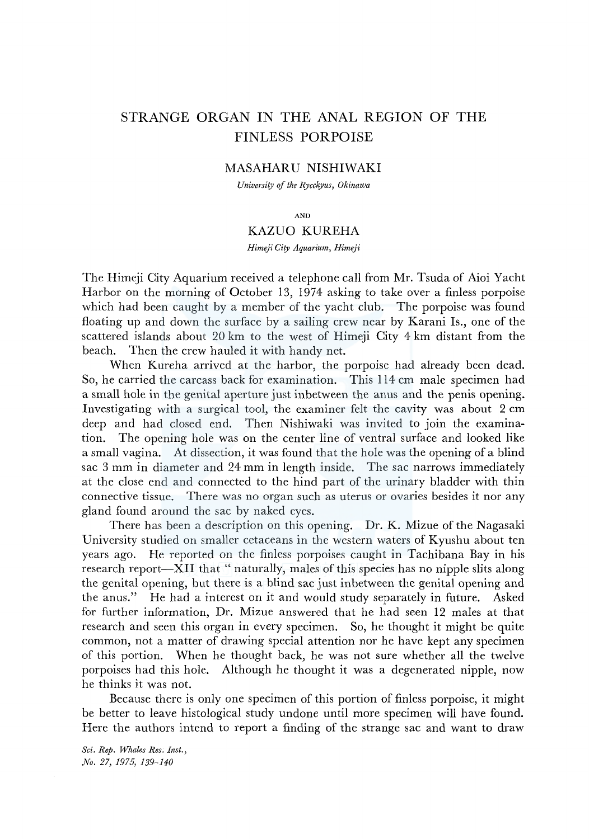# STRANGE ORGAN IN THE ANAL REGION OF THE FINLESS PORPOISE

# MASAHARU NISHIWAKI

*University of the Rycckyus, Okinawa* 

AND

## KAZUO KUREHA

*Himeji City Aquarium, Himeji* 

The Himeji City Aquarium received a telephone call from Mr. Tsuda of Aioi Yacht Harbor on the morning of October 13, 1974 asking to take over a finless porpoise which had been caught by a member of the yacht club. The porpoise was found floating up and down the surface by a sailing crew near by Karani Is., one of the scattered islands about 20 km to the west of Himeji City 4 km distant from the beach. Then the crew hauled it with handy net.

When Kureha arrived at the harbor, the porpoise had already been dead. So, he carried the carcass back for examination. This 114 cm male specimen had a small hole in the genital aperture just inbetween the anus and the penis opening. Investigating with a surgical tool, the examiner felt the cavity was about 2 cm deep and had closed end. Then Nishiwaki was invited to join the examination. The opening hole was on the center line of ventral surface and looked like a small vagina. At dissection, it was found that the hole was the opening of a blind sac 3 mm in diameter and 24 mm in length inside. The sac narrows immediately at the close end and connected to the hind part of the urinary bladder with thin connective tissue. There was no organ such as uterus or ovaries besides it nor any gland found around the sac by naked eyes.

There has been a description on this opening. Dr. K. Mizue of the Nagasaki University studied on smaller cetaceans in the western waters of Kyushu about ten years ago. He reported on the finless porpoises caught in Tachibana Bay in his research report—XII that "naturally, males of this species has no nipple slits along the genital opening, but there is a blind sac just inbetween the genital opening and the anus." He had a interest on it and would study separately in future. Asked for further information, Dr. Mizue answered that he had seen 12 males at that research and seen this organ in every specimen. So, he thought it might be quite common, not a matter of drawing special attention nor he have kept any specimen of this portion. When he thought back, he was not sure whether all the twelve porpoises had this hole. Although he thought it was a degenerated nipple, now he thinks it was not.

Because there is only one specimen of this portion of finless porpoise, it might be better to leave histological study undone until more specimen will have found. Here the authors intend to report a finding of the strange sac and want to draw

*Sci. Rep. Whales Res. Inst., No. 27, 1975, 139-140*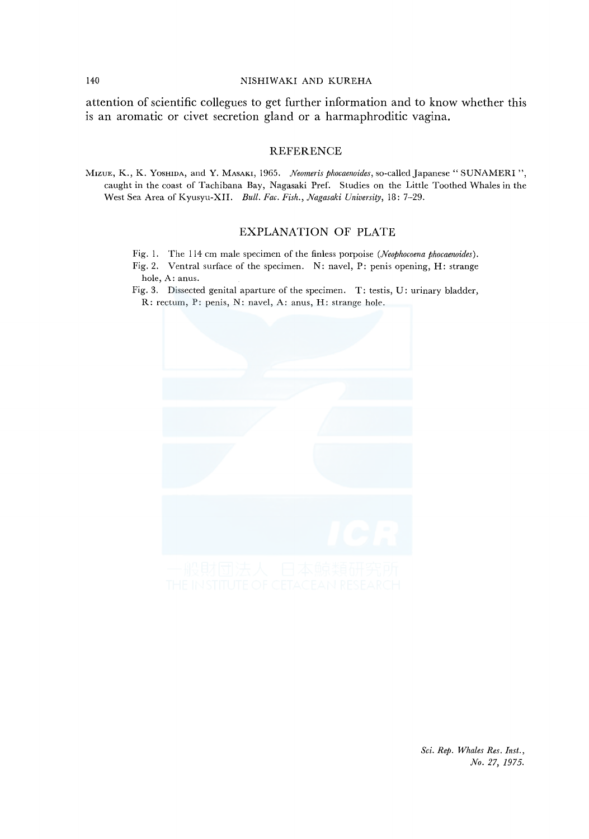#### 140 NISHIWAKI AND KUREHA

attention of scientific collegues to get further information and to know whether this is an aromatic or civet secretion gland or a harmaphroditic vagina.

### **REFERENCE**

~hzuE, K., K. YosHIDA, and Y. MASAKI, 1965. *Neomeris phocaenoides,* so-called Japanese" SUNAMERI '', caught in the coast of Tachibana Bay, Nagasaki Pref. Studies on the Little Toothed Whales in the West Sea Area of Kyusyu-XII. *Bull. Fae. Fish., Nagasaki University,* 18: 7-29.

## EXPLANATION OF PLATE

- Fig. I. The 114 cm male specimen of the finless porpoise *(Neophocoena phocaenoides).*
- Fig. 2. Ventral surface of the specimen. N: navel, P: penis opening, H: strange hole, A: anus.
- Fig. 3. Dissected genital aparture of the specimen. T: testis, U: urinary bladder, R: rectum, P: penis, N: navel, A: anus, H: strange hole.



*Sci. Rep. Whales Res. Inst., No. 27, 1975.*